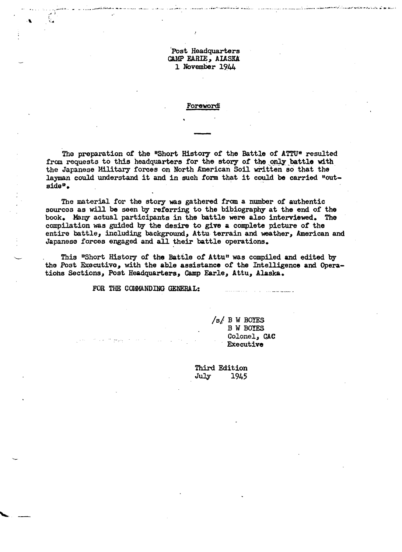Post Headquarters CAMP EARIE, ALASKA 1 November 1944

يركبونه البؤبوس كالتحيات حيواوي

#### Forewordi

The preparation of the "Short History of the Battle of ATTU" resulted from requests to this headquarters for the story of the only battle with the Japanese Military forces on North American Soil written so that the layman could understand it and in such form that it could be carried "outside".

The material for the story was gathered from a number of authentic sources as will be seen by referring to the bibiography at the end of the book. Many actual participants in the battle were also interviewed. The compilation was guided by the desire to give a complete picture of the entire battle, including background, Attu terrain and weather, American and Japanese forces engaged and all their battle operations.

This "Short History of the Battle of Attu" was compiled and edited by the Post Executive, with the able assistance of the Intelligence and Operations Sections, Post Headquarters, Camp Earle, Attu, Alaska.

FOR THE COMMANDING GENERAL:

 $/s/ B W$  BOYES **B W BOYES** Colonel, CAC Executive

Third Edition July 1945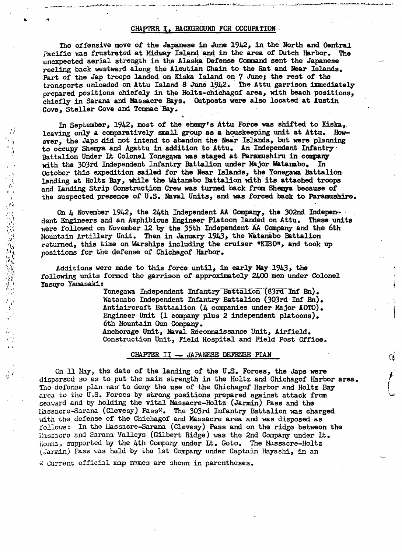#### CHAPTER I, BACKGROUND FOR OCCUPATION .

\_ .....\_ ••o.,,\_\_

 $\blacksquare$ 

. ' J'

The offensive move of the Japanese in June  $1942$ , in the North and Central Pacific was frustrated at Midway Island and in the area of Dutch Harbor. unexpected aerial strength in the Alaska Defense Command sent the Japanese reeling back westward along the Aleutian Chain to the Rat and Near Islands. Part of the Jap troops landed on Kiska Island on 7 June; the rest of the transports unloaded on Attu Island 8 June 1942. The Attu garrison immediately prepared positions chiefely in the Holtz-chichagof area, with beach positions, chiefly in Sarana and Massacre Bays. Outposts were also located at Austin Cove, Steller Cove and Temnac Bay.

In September, 1942, most of the ehemy's Attu Force was shifted to Kiska, leaving only a comparatively small group as a houskeeping unit at Attu. However, the Japs did not intend to abandon the Near Islands, but were planning to occupy Shemya and Agattu in addition to Attu. An Independent Infantry Battalion Under Lt Colonel Yonegawa was staged at Paramushiru in company<br>with the 303rd Independent Infantry Battalion under Major Watanabo. In with the 303rd Independent Infantry Battalion under Major Watanabo. October this expedition sailed for the Near Islands, the Yonegawa Battalion landing at Holtz Bay, while the Watanabo Battalion with its attached troops and Landing Strip Construction Crew was turned back from Shemya because of the suspected presence of U.S. Naval Units, and was forced back to Paramushiro.

On  $4$  November 1942, the 24th Independent AA Company, the 302nd Independent Engineers and an Amphibious Engineer Platoon landed on Attu. These units were followed on November 12 by the 35th Independent AA Company and the 6th Mountain Artillery Unit. Then in January 1943, the Watanabo Battalion returned, this time on Warships including the cruiser "KISO", and took up positions for the defense of Chichagof Harbor.

Additions were made to this force until, in early May 1943, the following units formed the garrison of approximately 2400 men under Colonel Yasuyo Yamasaki:

Yonegawa Independent Infantry-Battalion (83rd Inf Bn). Watanabo Independent Infantry Battalion (303rd Inf Bn). Antiaircraft Battaalion (4 companies under Major AOTO). Engineer Unit (1 company plus 2 independent platoons). 6th Mountain Gun Company. Anchorage Unit, Naval Reconnaissance Unit, Airfield. Construction Unit, Field Hospital and Field Post Office.

G.

#### CHAPTER II - JAPANESE DEFENSE PIAN

On  $\text{II}$  Hay, the date of the landing of the U.S. Forces, the Japs were dispersed so as to put the main strength in the Holtz and Chichagof Harbor area. Tho defense plan was to deny the use of the Chichagof Harbor and Holtz Bay area to the U.S. Forces by strong positions prepared against attack from seaward and by holding the vital Massacre-Holtz (Jarmin) Pass and the liassacre-Sarana (Clevesy) Pass\*. The 303rd Infantry Battalion was charged with the defense of the Chichagof and Massacre area and was disposed as follows: In the Hassacre-Sarana (Clevesy) Pass and on the ridgo between the Hassacre and Sarana Valleys (Gilbert Ridge) was the 2nd Company under Lt. Honna, supported by the 4th Company under Lt. Goto. The Massacre-Holtz (Jarmin) Pass was held by the 1st Company under Captain Hayashi, in an

\* Current official map names are shown in parentheses.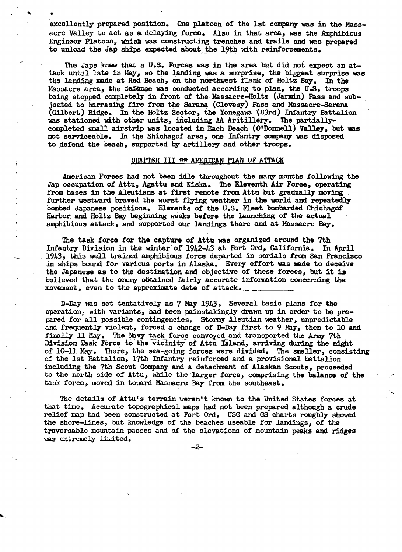excellently prepared position. One platoon of the 1st company was in the Massacre Valley to act as a delaying force. Also in that area, was the Amphibious Engineer Platoon, which was constructing trenches and trails and was prepared to unload the Jap ships expected about the 19th with reinforcements.

À

 $\begin{array}{ccc}\n\bullet & \bullet & \bullet & \bullet \\
\bullet & \bullet & \bullet & \bullet & \bullet \\
\bullet & \bullet & \bullet & \bullet & \bullet\n\end{array}$ 

The Japs knew that a U.S. Forces was in the area but did not expect an attack until late in May, so the landing was a surprise, the biggest surprise was the landing made at Red Beach, on the northwest flank of Holtz Bay. In the Massacre area, the defense was conducted according to plan, the U.S. troops baing stopped completely in front of the Massacre-Holtz (Jarmin) Pass and sub jected to harrasing fire from the Sarana (Clevesy) Pass and Massacre-Sarana (Gilbert) Ridge. In the Holtz Sector, 'the l'onegawa '(83rd) Infantry Battalion was stationed with other units, including AA Aritillery. The partiallycompleted small airstrip was located in Each Beach (O'Donnell) Valley, but was not serviceable. In the Shichagof area, one Infantry company was disposed to defend the beach, supported by artillery and other troops.

#### CHAPTER III \*\* AMERICAN PLAN OF ATTACK

American Forces had not been idle throughout the. many months following the Jap occupation of Attu, Agattu and Kiska. 7he Eleventh Air Force, operating from bases in the Aleutians at first remote from Attu but gradually moving further westward braved the worst flying weather in the world and repeatedly bombed Japanese positions. Elements of the U.S. Fleet' bombarded Chichagof Harbor and Holtz Bay beginning weeks before the launching of the actual Ï amphibious attack, and supported our landings there and at Massacre Bay.

The task force for the capture of Attu was organized around the 7th Infantry Division in the winter of 1942-43 at Fort Ord, California. In April 1943, this well trained amphibious torce departed in serials from san Francisco in ships bound for various ports in Alaska. Every effort was made to deceive the Japanese as to the destination and objective of these forces, but it is b3lieved that the enemy obtained fairly accurate information concerning the movement, even to the approximate date of attack.

D-Day was set tentatively as 7 May 1943. Several basic plans for the operation, with variants, had been painstakingly drawn up in order to be prepared for all possible contingencies. Stormy Aleutian weather, unpredictable and frequently violent, forced a change of D-Day first to 9 May, then to 10 and finally 11 May. The Navy task force convoyed and transported the Army 7th Division Task Force to the vicinity of Attu Island, arriving during the night of 10-11 May. There, the sea-going forces were divided. The smaller, consisting of the 1st Battalion, 17th Infantry reinforced and a provisional battalion including the 7th Scout Company and a detachment of Alaskan Scouts, proceeded to the north side of Attu, while the larger force, comprising the balance of the task force, moved in toward Massacre Bay from the southeast.

The details of Attu's terrain weren't known to the United States forces at that time. Accurate topographical maps had not been prepared although a crude relief map had been constructed at Fort Ord. USG and GS charts roughly showed the shore-lines, but knowledge of the beaches useable for landings, of the traversable mountain passes and of the elevations of mountain peaks and ridges was extremely limited.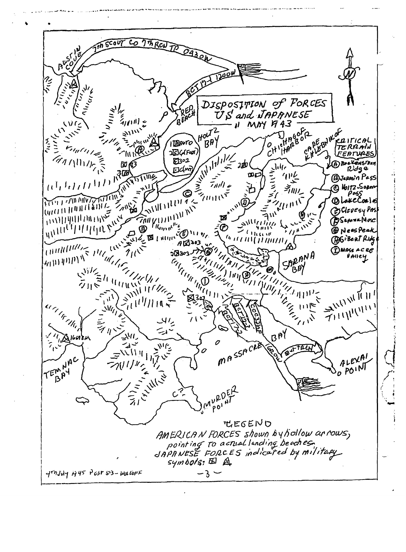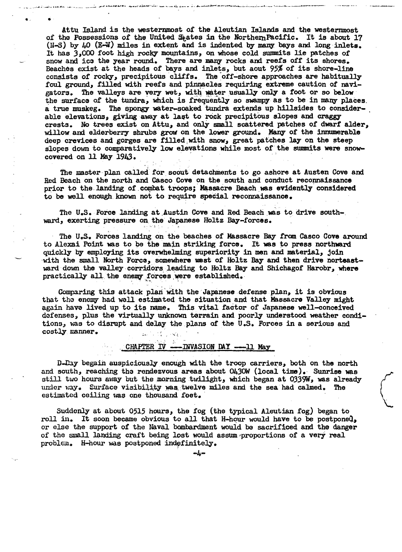Attu Island is the westenunost *ot* the Aleutian Islands and the westermnost of the Possessions of the United  $\mathfrak{F}_t$ ates in the Northern Pacific. It is about 17  $(N-S)$  by 40 (E-W) miles in extent and is indented by many bays and long inlets. It has 3.000 foot high rocky mountains, on whose cold summits lie patches of snow and ic3 the year round. There are many rocks and reefs off its shores. Beaches exist at the heads of bays and inlets, but aout 95% of its shore-line consists of rocky, precipitous cliffs. The off-shore approaches are habitually foul ground, filled with reefs and pinnacles requiring extreme caution of navigators. The valleys are very wet, with water usually only a foot or so below the surface of the tundra, which is frequently so swampy as to be in many places. a true muskeg. The spongy water-soaked tundra extends up hillsides to considerable elevations, giving away at last to rock precipitous slopes and craggy crests. No trees exist on Attu, and only small scattered patches of dwarf alder, willow and elderberry shrubs grow on the lower ground. Many of the innumerable deep crevices and gorges are filled with snow, great patches lay on the steep slopes down to comparatively low elevations while most of the summits were snow-<br>covered on 11 May 1943.

e\_ .'

The master plan called for scout detachments to go ashore at Austen Cove and Red Beach on the north and Gasco Cove on the south and conduct reconnaissance prior to the landing of combat troops; Massacre Beach was evidently considered to be well enough known not to require special reconnaissance.

The U.S. Force landing at Austin Cove and Red Beach was to drive southward, exerting pressure on the Japanese Holtz Bay-forces.

The U.S. Forces landing on the beaches of Massacre Bay from Casco Cove around to Alexai Point was to be the main striking force. It was to press northward quickly by employing its overwhelming superiority in men and material, join with the small North Force, somewhere west of Holtz Bay and then drive norteastward down the valley corridors leading to Holtz Bay and Shichagof Harobr, where practically all the enemy forces were established.

Comparing this attack plan with the Japanese defense plan, it is obvious that tha enemy- had well estimated the situation and that Massacre Valley might again have lived up to its name. This vital factor of Japanese well-eonceived defenses, plus the virtually unknown terrain and poorly understood weather conditions, was to disrupt and delay the plans of the U.S. Forces in a serious and costly manner.

## CHAPTER  $\overline{IV}$  ---INVASION DAY --11 May

D-Day begain auspiciously enough with the troop carriers, both on the north and south, reaching the rendezvous areas about  $0430W$  (local time). Sunrise was still two hours away but the morning twilight, which began at 0339W, was already of still two hours away but the morning twilight, which began at 0339W, was already of under way. Surface visibility was twelve miles and the

 $\mathcal{L}$ 

Suddenly at about 0515 hours, the fog (the typical Aleutian fog) began to roll in. It soon became obvious to all that H-hour would have to be postponed, or else the Bupport of the Naval bombardment would be sacrificed and the danger of the small landing craft being lost would assum 'proportions of a very real problem. H-hour was postponed indefinitely.

ديات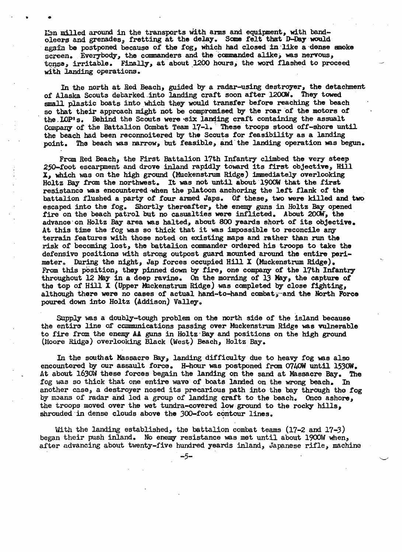I:an milled around in the transports with arms and equipment, with bandoleers and grenades, fretting at the delay. Some felt that D-Day would again be postponed because of the fog, which had closed in like a dense amoke acreen. Everybody, the commanders and the commanded alike, was nervous, tense, irritable. Finally, at about 1200 hours, the word flashed to proceed with landing operations.

.. .

In the north at Red Beach, guided by a radar-using destroyer, the detachment of Alaska Scouts debarked ,into landing craft soon after *1200i1.* They towed small plastic boats into which they would transfer before reaching the beach so that their approach might not be compromised by the roar of the motors of the LOP's. Behind the Scouts were six landing craft containing the assualt Company of the Battalion Combat Team 17-1. These troops stood off-shore until the beach had been reconnoitered by the Scouts for feasibility as a landing point. The beach was narrow, but feasible, and" the landing operation was begun.

From Red Beach, the First Battalion 17th Infantry climbed the very steep 250-foot escarpment and drove inland rapidly toward its first objective, Hill X, which was on the high ground (Muckenstrum Ridge) immediately overlooking Holtz Bay from the northwest. It was not until about 1900W that the first resistanco was encountered when the platoon anchoring the left flank of the battalion flushed a party of four armed Japs. Of these, two were killed and two escaped into the fog. Shortly thereafter, the enemy guns in Holtz Bay opened fire on the beach patrol but no casualties were inflicted. About 200W, the advance' on Holtz Bay area was halted, about 800 yeards short of its objective. At this time the fog was so thick that it was impossible to reconcile any terrain features with those noted on existing maps and rather than run the risk of becoming lost, the battalion commander ordered his troops to take the defensive positions with strong outpost guard mounted around the entire perimeter. During the night, Jap forces occupied Hill X (Muckenstrum Ridge). From this position, they pinned down by fire, one company of the 17th Infantry throughout 12 May in a deep ravine. On the morning of 13 May, the capture of the top of Hill X (Upper Muckenstrum Ridge) was completed by close fighting, although there were no cases of actual hand-to-hand combat<sub>5</sub>-and the North Force poured down into Holtz (Addison) Valley.

Supply was a doubly-tough problem on the north side of the island because the entire line of communications passing over Muckenstrum Ridge was vulnerable to fire from the enemy AA guns in Holtz Bay and positions on the high ground (Moore Ridge) overlooking Black (West) Beach, Holtz Bay.

In the southat Massacre Bay, landing difficulty due to heavy fog was also encountered by our assault force. H-hour was postponed from 0740W until 1530W. At about 1630W these forces begain the landing on the sand at Massacre Bay. The fog was so thick that one entire wave of boats landed on the wrong beach. In another case, a destroyer nosed its precarious path into the bay through the fog by means of radar and led a group of landing craft to the beach. Once ashore, the troops moved over the wet tundra-covered low ground to the rocky hills, shrouded in dense clouds above the 300-foot contour lines.

With the landing established, the battalion combat teams  $(17-2$  and  $17-3)$ began their push inland. No enemy resistance was met until about 1900W when, after advancing about twenty-five hundred yeards inland, Japanese rifle, machine

-5-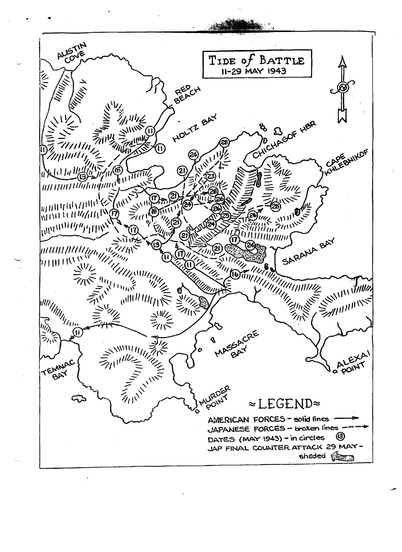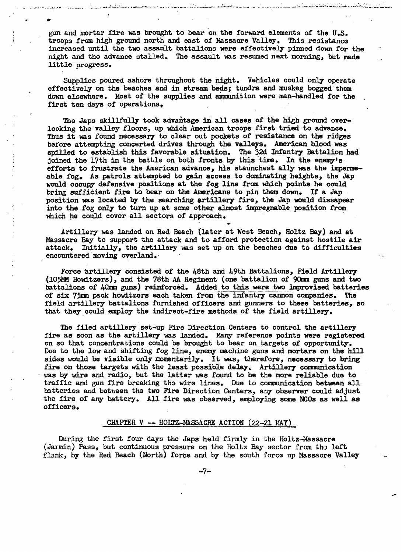gun and mortar fire was brought to bear on the forward elements of the U.S. troops from high ground north and east of Massacre Valley.. This resistance increased until the two assault battalions were effectively pinned down for the night and the advance stalled. The assault was resumed next morning, but made little progress.

.<br>اجتماعه الاستخدامي

..

- :...-- .

Supplies poured ashore throughout the night. Vehicles could only operate effectively on the beaches and in stream beds; tundra and muskeg bogged them down elsewhere. Most of the supplies and ammunition were man-handled for the first ten days of operations.

The Japs skillfully took advantage in all cases of the high ground overlooking the' valley floors, up which American troops first tried to advance. Thus it was found necessary to clear out pockets of resistance on the ridges before attempting concerted drives through the valleys. American blood was spilled to establish this favorable situation. The 32d Infantry Battalion had joined the 17th in the battle on both fronts by this time. In the enemy's efforts to frustrate the American advance, his staunchest ally was the impermeable fog. As patrols attempted to gain access to dominating heights, the Jap would occupy defensive positions at the fog line from which points he could would occupy defensive positions at the fog fine from which points he could<br>bring sufficient fire to bear on the Americans to pin them down. If a Jap position was located by the searching artillery fire, the Jap would dissapear into the fog only to turn up at some other almost impregnable position from which he could cover all sectors of approach. which he could cover all sectors of approach.<br>Artillery was landed on Red Beach (later at West Beach, Holtz Bay) and at

Massacre Bay to support the attack and to afford protection against hostile air attack. Initially, the artillery was set up on the beaches due to difficulties encountered moving overland.

Force artillery consisted of the 48th and 49th Battalions, Field Artillery (I05.MMHow.itzers), and the 78th AA Regiment (one battalion of 9Qnm guns and two battalions of 40mm guns) reinforced. Added to this were two improvised batteries of six 75mm pack howitzers each taken from the' infantry- cannon companies. The field artillery battalions furnished officers and gunners to these batteries, so that they could employ the indirect-fire methods of the field artillery.

The filed artillery set-up Fire Direction Centers to control the artillery fire as soon as the artillery was landed. Many reference points were registered on so that concentrations could be brought to bear on targets of opportunity. Due to the low and shifting fog line, enemy machine guns and mortars on the hill sides would be visible only momentarily. It was, therefore, necessary to bring fire on those targets with the least possible delay. Artillery communication was by wire and radio, but the latter was found to be the more reliable due to traffic and gun fire breaking tho wire lines. Duo to communication between all batteries and between the two Fire Direction Centers, any observer could adjust the fire of any battery. All fire was observed, employing some NCOs as well as officors.

#### CHAPTER  $V -$  HOLTZ-MASSACRE ACTION (22-21 MAY)

During the first four days the Japs held firmly in the Holtz-Massacre (Jarmin) Pass, but continuous pressure on the Holtz Bay sector from tho lott flank, by the Red Beach (North) force and by the south force up Massacre Valley

...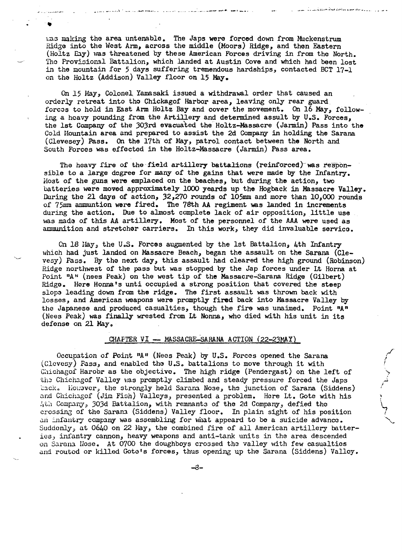$\text{was making the area unchanged.}$  The Japs were forced down from Muckenstrum Ridze into the West Arm, across the middle (Moors) Ridge, and then Eastern (Holtz Eay) was threatened by these American Forces driving in from the North. The Provisional Battalion, which landed at Austin Cove and which had been lost in the mountain for 5 days suffering tremendous hardships, contacted BCT  $17-1$ on tho Holtz (Addison) Valley floor on l5 May.

.<br>وما ي التحديث من من من المسلم المنظمة السيء المسلم المسلم المسلم المسلم المسلم المسلم المسلم المسلم المسلم المسلم المسلمين

. \_.. \_ .... \_.\_~~ ......-.,.4 .:.....·t ....... .-...:....... \_\_ ........

,/ ; •

On 15 May, Colonel Yamasaki issued a withdrawal order that caused an orderly retreat into tho Chickagof Harbor area, leaving only rear guard forcas to hold in East Arm Holtz Bay and cover the movement. On 16 May, following a heavy pounding from the Artillery and determined assult by U.S. Forces, the 1st Company of the 303rd evacuated the Holtz-Massacre (Jarmin) Pass into the Cold Hountain area and prepared to assist the 2d Company in holding the Sarana (Clevesey) Pass. On the 17th of May, patrol contact between the North and South Forces was effected in the Holtz-Massacre (Jarmin) Pass area.

The heavy fire of the field artillery battalions (reinforced) was responsible to a large degree for many of the gains that were made by the Infantry. Host of the guns were emplaced on the beaches, but during the action, two batteries were moved approximately 1000 yeards up the Hogback in Massacre Valley. During the 21 days of action, 32,270 rounds of 105mm and more than 10,000 rounds of 75mm ammuntion were fired. The 78th AA regiment was landed in increments during the action. Due to almost complete lack of air opposition, little use was made of this AA artillery. Most of the personnel of the AAA were used as ammunition and stretcher carriers. In this work, they did invaluable servica.

On 18 Hay<sub>3</sub> the U.S. Forces augmented by the 1st Battalion, 4th Infantry which had just landed on Massacre Beach, began the assault on the Sarana (Clevesy) Pass. By tho next day, this assault had cleared the high ground (Robinson) Ridge northwest of the pass but was stopped by the Jap forces under Lt Horna at Point "A" (nees Peak) on the west tip of the Massacre-Sarana Ridge (Gilbert) Ridga. Here Honna's unti occupied a strong position that covered the steep slops leading down from the ridge. The first assault was thrown back with losses, and American weapons were promptly fired back into Massacre Valley by the Japanese and produced casualties, though the fire was unaimed. Point mAn (Nees Peak) was finally wrested from Lt Nonna, who died with his unit in its defense on 21 May.

# CHAFTER VI  $-$  MASSACRE-SARANA ACTION (22-23MAY)

Occupation of Point  $^nA''$  (Nees Peak) by U.S. Forces opened the Sarana (Clevesy) Pass, and enabled the U.S. battalions to move through it with Chichagof Harobr as the objective. The high ridge (Pendergast) on the left of the Chichagof Valley was promptly climbed and steady pressure forced the Japs hack. However, the strongly held Sarana Nose, the junction of Sarana (Siddens) and Chichagof (Jim Fish) Valleys, presented a problem. Here Lt. Gote with his 4th Company, 303d Battalion, with remnants of the 2d Company, defied the crossing of the Sarana (Siddens) Valley floor. In plain sight of his position an infantry company was assembling for what appeard to be a suicide advance. Suddenly, at 0640 on 22 Hay, the combined fire of all American artillery batteries, infantry cannon, heavy weapons and anti-tank units in the area descended on Sarana Nose. At 0700 the doughboys crossed the valley with few casualties and routed or killed Gote's forces, thus opening up the Sarana (Siddens) Valley.

-8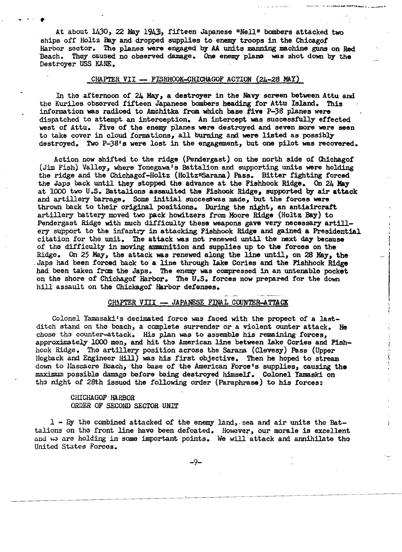At about 1430, 22 May 1943, fifteen Japanese "Nell" bombers attacked two ships off Holtz Bay and dropped supplies to enemy troops in the Chicagof Harbor sector. The planes were engaged by AA units manning machine guns on Red Beach. They caused no observed damage. One enemy plano -was shot down by the Destroyer USS KANE.

## CHAPTER VII - FISHHOOK-CHICHAGOF ACTION (24-28 MAY)

In the afternoon of 24 May, a destroyer in the Navy screen between Attu and the Kuriles obscrved fifteen Japanese bombers heading for Attu Island. This information was radioed to Amchitka from which base five P-38 planes were dispatched to attempt an interception. An intercept was successtully effected west of Attu. Five of the enemy planes were destroyed and seven more were seen to take cover in cloud formations, all burning and were listed as possibly destroyed. Two P-38's were lost in the engagement, but one pilot was recovered.

Action now shifted to the ridge (Pendergast) on the north side of Chichagof (Jim Fish) Valley, where Yonegawa' s Battalion and supporting units were holding the ridge and the Chichagof-Holtz (Holtz\*Sarana) Pass. Bitter fighting forced the Japs back until they stopped the advance at the Fishhook Ridge. On 24 May at 1000 two U.S. Battalions assaulted the Fishook Ridge, supported by air attack and artillery barrage. Some initial successwas made, but the forces were thrown back to their original positions. During the night, an antiaircraft. artillery battery moved two pack howitzers from Moore Ridge (Holtz Bay) to Pendergast Ridge with much difficulty these weapons gave very necessary artillery support to the infantry in attacking Fishhook Ridge and gained a Presidential citation for the unit. The attack was not renewed until the next day because of the difficulty in moving ammunition and supplies up to the forces on the Ridge. On 25 May, the attack was renewed along the line until, on 28 May, the Japs had been forced back to a line through lake Cories and the Fishhook Ridge had been taken from the Japs. The enemy was compressed in an untenable pocket on the shore of Chichagof Harbor. The U.5. forces now prepared for the down hill assault on the Chickagof Harbor defenses.

### CHAPTER VIII -- JAPANESE FINAL COUNTER-ATTACK

Colonel Yamasaki's decimated forco was faced with the propect of a lastditch stand on the beach, a complete surrender or a violent ounter attack. He chose the counter-attack. His plan was to assemble his remaining forces, approximstely 1000 men, and hit the American line between lake Cories and Fishhook Ridge. The artillery position across the Sarana (Clevesy) Pass (Upper Hogback and Engineer Hill) was his first objective. Then he hoped to stream down to Massacre Beach, the base of the American Force's supplies, causing the maximum possible damage before being destroyed himself. Colonel Yamaski on tho night of 28th issuod the following order (Paraphrase) to his forces:

 $\label{eq:2.1} \frac{1}{2} \left( \frac{1}{2} \left( \frac{1}{2} \right) + \frac{1}{2} \left( \frac{1}{2} \right) \right) \left( \frac{1}{2} \left( \frac{1}{2} \right) + \frac{1}{2} \left( \frac{1}{2} \right) \right) \left( \frac{1}{2} \right) \left( \frac{1}{2} \right) \left( \frac{1}{2} \right) \left( \frac{1}{2} \right) \left( \frac{1}{2} \right) \left( \frac{1}{2} \right) \left( \frac{1}{2} \right) \left( \frac{1}{2} \right) \left( \frac{$ 

### CHICHAGOF -HARBOR ORDER OF SECOND SECTOR UNIT

.. .. .

1 - By the combined attacked of the enemy land,. sea and air units the Battalions on the front line have been defeated. However, our morale is excellent and we are holding in some important points. We will attack and annihilate tho United States Forces.

-9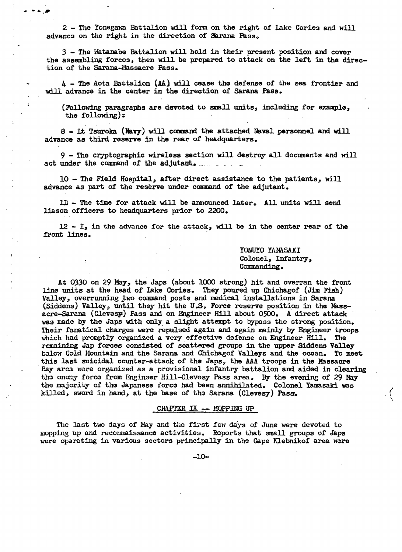$2$  - The Yonegawa Battalion will form on the right of lake Cories and will advance on the right in the direction of Sarana Pass.

• ... *JP* 

.3 - The rlatanabe Battalion will hold in their present position and cover the assembling forces, then will be prepared to attack on the left in the direc tion of the Sarana-Massacre Pass.

 $4 -$  The Aota Battalion (AA) will cease the defense of the sea frontier and will advance in the center in the direction of Sarana Pass.

(Following paragraphs are devoted to small units, including for example, the following):

8 - Lt Tsuroka (Navy) will command the attached Naval personnel and will advance as third reserve in the rear of headquarters. .

9 - Tho cryptographic wireless section will destroy all docmnents and will. act under the command of the adjutant.

 $10$  - The Field Hospital, after direct assistance to the patients, will advance as part of the reserve under command of the adjutant.

ll - The time for attack will be announced later. All units will send liason officers to headquarters prior to 2200.

 $12 - I<sub>s</sub>$  in the advance for the attack, will be in the center rear of the front lines.

> YONUYO YAMASAKI Colonel, Infantry, Commanding.

At 03.30 on 29 May, the Japs (about 1000 strong) hit and overran the front line units at the head of lake Cories. They ·poured up Chichagof (Jim Fish) Valley, overrunning two command posts and medical installations in Sarana (Siddens) Valley, until they hit the U.S. Force reserve position in the Massacre-Sarana (Clevesy) Pass and on Engineer Hill about 0500. A direct attack was made by the Japs with only a slight attempt to bypass the strong position. Their fanatical charges were repulsed again and again mainly by Engineer troops which had promptly organized a very effective defense on Engineer Hill. The remaining Jap forces consisted of scattered groups in the upper Siddens Valley b;low Cold Mountain and the Sarana and Chichagof Valleys and the ocean. To meet this last suicidal counter-attack of the Japs, the AAA troops in the Massacre Bay area were organized as a provisional infantry battalion and aided in clearing the oncmy force from Engineer Hill-Clevesy Pass area. By the evening of 29 May the majority of the Japanese force had been annihilated. Colonel Yamasaki was killed, sword in hand, at the base of the Sarana (Clevesy) Pass.

## $CHAPTER$   $IX$   $-$  MOPPING UP

The last two days of May and the first few days of June were devoted to mopping up and reconnaissanco activities. Roports that small groups of Japs were oparating in various sectors principally in the Cape Klebnikof area were

 $-10-$